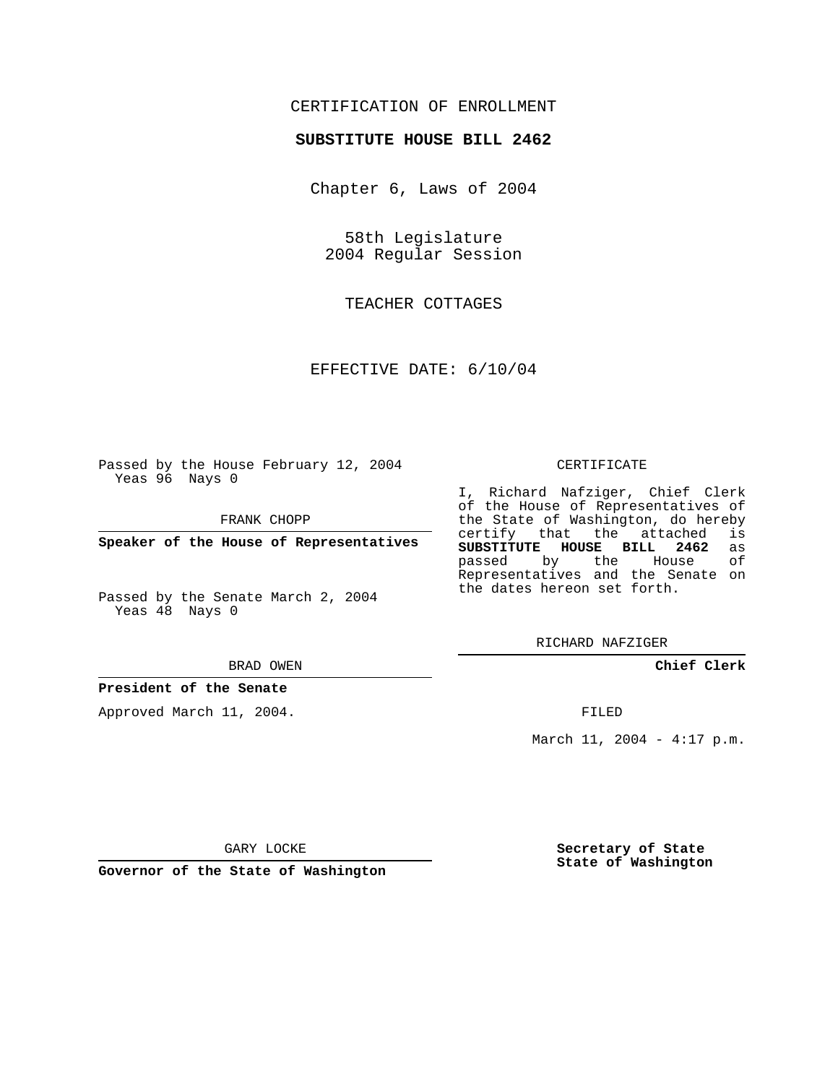## CERTIFICATION OF ENROLLMENT

#### **SUBSTITUTE HOUSE BILL 2462**

Chapter 6, Laws of 2004

58th Legislature 2004 Regular Session

TEACHER COTTAGES

EFFECTIVE DATE: 6/10/04

Passed by the House February 12, 2004 Yeas 96 Nays 0

FRANK CHOPP

**Speaker of the House of Representatives**

Passed by the Senate March 2, 2004 Yeas 48 Nays 0

#### BRAD OWEN

#### **President of the Senate**

Approved March 11, 2004.

#### CERTIFICATE

I, Richard Nafziger, Chief Clerk of the House of Representatives of the State of Washington, do hereby<br>certify that the attached is certify that the attached **SUBSTITUTE HOUSE BILL 2462** as passed by the Representatives and the Senate on the dates hereon set forth.

RICHARD NAFZIGER

**Chief Clerk**

FILED

March 11, 2004 - 4:17 p.m.

GARY LOCKE

**Governor of the State of Washington**

**Secretary of State State of Washington**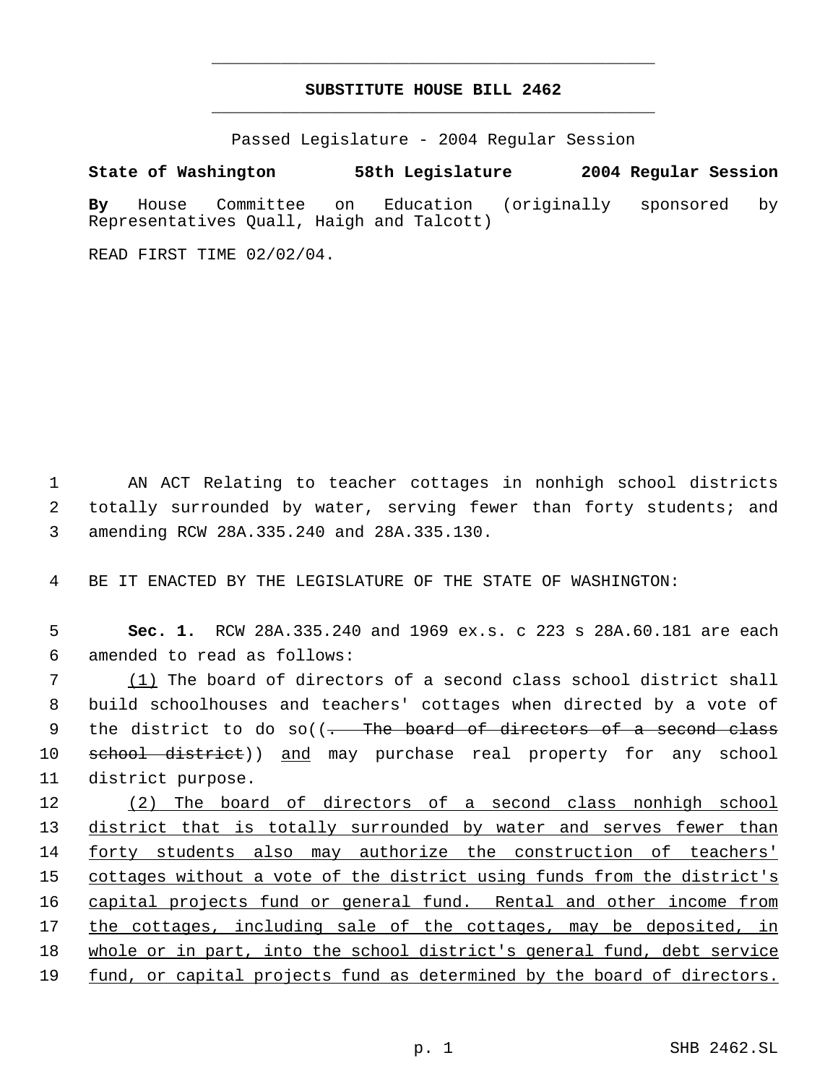# **SUBSTITUTE HOUSE BILL 2462** \_\_\_\_\_\_\_\_\_\_\_\_\_\_\_\_\_\_\_\_\_\_\_\_\_\_\_\_\_\_\_\_\_\_\_\_\_\_\_\_\_\_\_\_\_

\_\_\_\_\_\_\_\_\_\_\_\_\_\_\_\_\_\_\_\_\_\_\_\_\_\_\_\_\_\_\_\_\_\_\_\_\_\_\_\_\_\_\_\_\_

Passed Legislature - 2004 Regular Session

### **State of Washington 58th Legislature 2004 Regular Session**

**By** House Committee on Education (originally sponsored by Representatives Quall, Haigh and Talcott)

READ FIRST TIME 02/02/04.

 1 AN ACT Relating to teacher cottages in nonhigh school districts 2 totally surrounded by water, serving fewer than forty students; and 3 amending RCW 28A.335.240 and 28A.335.130.

4 BE IT ENACTED BY THE LEGISLATURE OF THE STATE OF WASHINGTON:

 5 **Sec. 1.** RCW 28A.335.240 and 1969 ex.s. c 223 s 28A.60.181 are each 6 amended to read as follows:

 7 (1) The board of directors of a second class school district shall 8 build schoolhouses and teachers' cottages when directed by a vote of 9 the district to do so((- The board of directors of a second class 10 school district)) and may purchase real property for any school 11 district purpose.

12 (2) The board of directors of a second class nonhigh school 13 district that is totally surrounded by water and serves fewer than 14 forty students also may authorize the construction of teachers' 15 cottages without a vote of the district using funds from the district's 16 capital projects fund or general fund. Rental and other income from 17 the cottages, including sale of the cottages, may be deposited, in 18 whole or in part, into the school district's general fund, debt service 19 fund, or capital projects fund as determined by the board of directors.